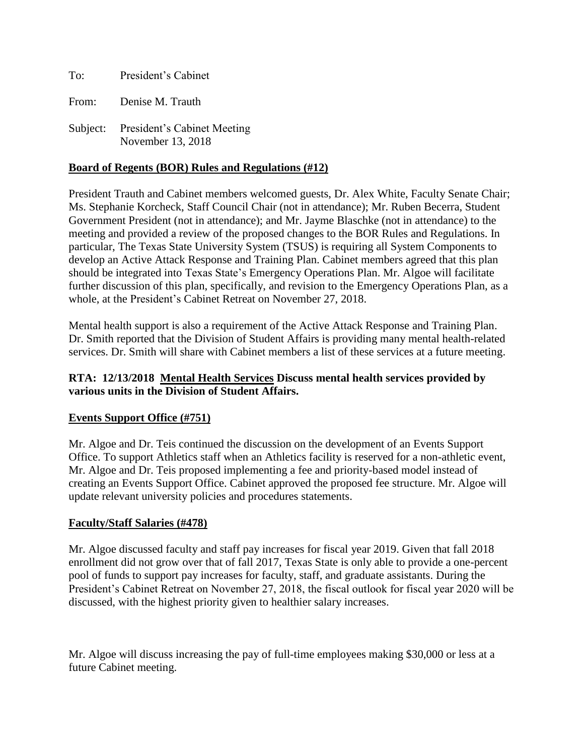To: President's Cabinet From: Denise M. Trauth

Subject: President's Cabinet Meeting November 13, 2018

#### **Board of Regents (BOR) Rules and Regulations (#12)**

President Trauth and Cabinet members welcomed guests, Dr. Alex White, Faculty Senate Chair; Ms. Stephanie Korcheck, Staff Council Chair (not in attendance); Mr. Ruben Becerra, Student Government President (not in attendance); and Mr. Jayme Blaschke (not in attendance) to the meeting and provided a review of the proposed changes to the BOR Rules and Regulations. In particular, The Texas State University System (TSUS) is requiring all System Components to develop an Active Attack Response and Training Plan. Cabinet members agreed that this plan should be integrated into Texas State's Emergency Operations Plan. Mr. Algoe will facilitate further discussion of this plan, specifically, and revision to the Emergency Operations Plan, as a whole, at the President's Cabinet Retreat on November 27, 2018.

Mental health support is also a requirement of the Active Attack Response and Training Plan. Dr. Smith reported that the Division of Student Affairs is providing many mental health-related services. Dr. Smith will share with Cabinet members a list of these services at a future meeting.

## **RTA: 12/13/2018 Mental Health Services Discuss mental health services provided by various units in the Division of Student Affairs.**

#### **Events Support Office (#751)**

Mr. Algoe and Dr. Teis continued the discussion on the development of an Events Support Office. To support Athletics staff when an Athletics facility is reserved for a non-athletic event, Mr. Algoe and Dr. Teis proposed implementing a fee and priority-based model instead of creating an Events Support Office. Cabinet approved the proposed fee structure. Mr. Algoe will update relevant university policies and procedures statements.

#### **Faculty/Staff Salaries (#478)**

Mr. Algoe discussed faculty and staff pay increases for fiscal year 2019. Given that fall 2018 enrollment did not grow over that of fall 2017, Texas State is only able to provide a one-percent pool of funds to support pay increases for faculty, staff, and graduate assistants. During the President's Cabinet Retreat on November 27, 2018, the fiscal outlook for fiscal year 2020 will be discussed, with the highest priority given to healthier salary increases.

Mr. Algoe will discuss increasing the pay of full-time employees making \$30,000 or less at a future Cabinet meeting.